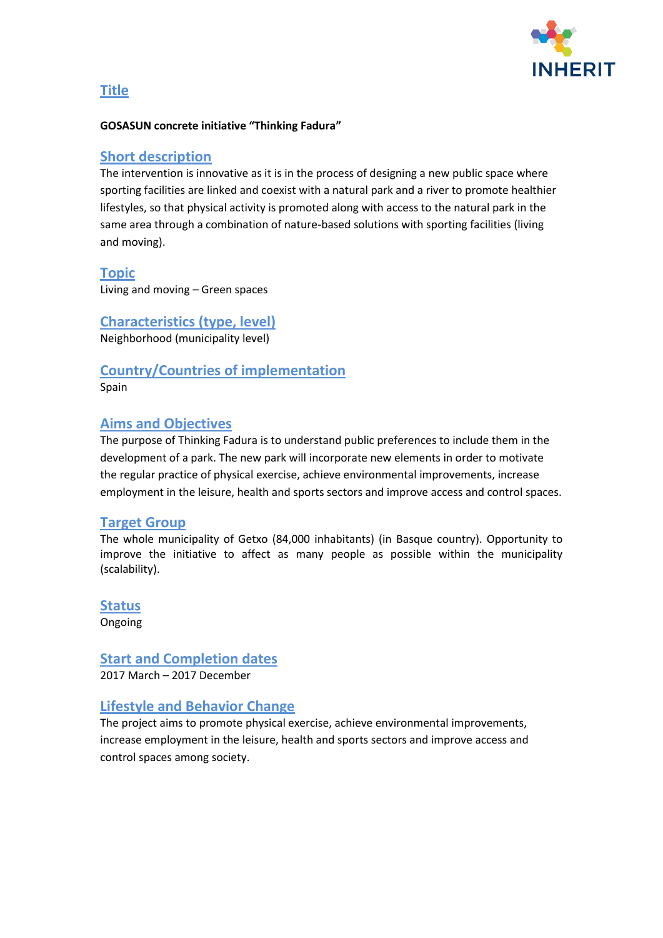

## **Title**

#### **GOSASUN concrete initiative "Thinking Fadura"**

#### **Short description**

The intervention is innovative as it is in the process of designing a new public space where sporting facilities are linked and coexist with a natural park and a river to promote healthier lifestyles, so that physical activity is promoted along with access to the natural park in the same area through a combination of nature-based solutions with sporting facilities (living and moving).

#### **Topic**

Living and moving – Green spaces

**Characteristics (type, level)** Neighborhood (municipality level)

**Country/Countries of implementation** Spain

## **Aims and Objectives**

The purpose of Thinking Fadura is to understand public preferences to include them in the development of a park. The new park will incorporate new elements in order to motivate the regular practice of physical exercise, achieve environmental improvements, increase employment in the leisure, health and sports sectors and improve access and control spaces.

#### **Target Group**

The whole municipality of Getxo (84,000 inhabitants) (in Basque country). Opportunity to improve the initiative to affect as many people as possible within the municipality (scalability).

**Status** Ongoing

**Start and Completion dates** 2017 March – 2017 December

## **Lifestyle and Behavior Change**

The project aims to promote physical exercise, achieve environmental improvements, increase employment in the leisure, health and sports sectors and improve access and control spaces among society.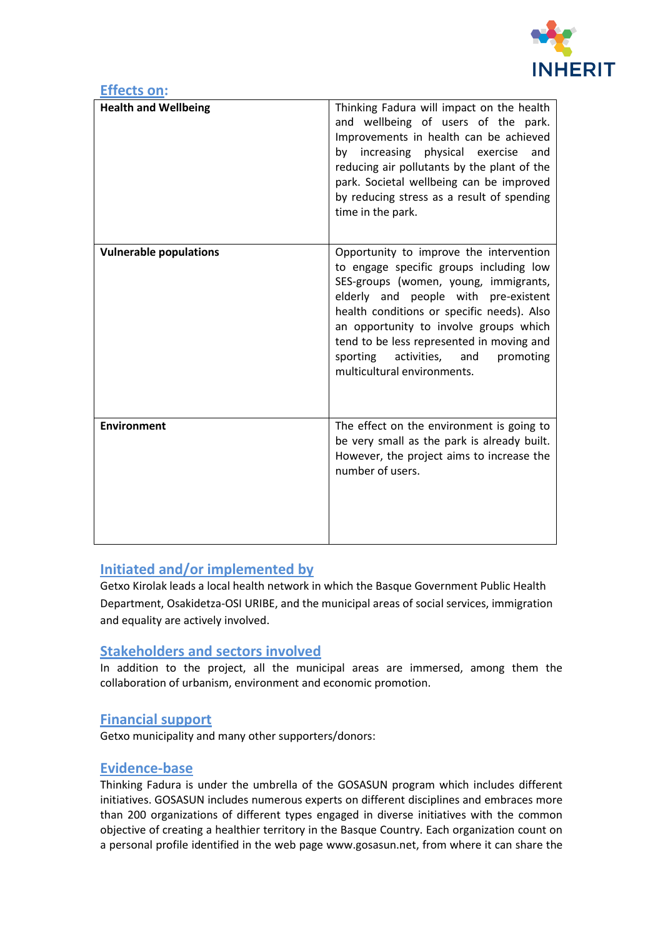

| <b>Effects on:</b>            |                                                                                                                                                                                                                                                                                                                                                                                        |
|-------------------------------|----------------------------------------------------------------------------------------------------------------------------------------------------------------------------------------------------------------------------------------------------------------------------------------------------------------------------------------------------------------------------------------|
| <b>Health and Wellbeing</b>   | Thinking Fadura will impact on the health<br>and wellbeing of users of the park.<br>Improvements in health can be achieved<br>by increasing physical exercise<br>and<br>reducing air pollutants by the plant of the<br>park. Societal wellbeing can be improved<br>by reducing stress as a result of spending<br>time in the park.                                                     |
| <b>Vulnerable populations</b> | Opportunity to improve the intervention<br>to engage specific groups including low<br>SES-groups (women, young, immigrants,<br>elderly and people with pre-existent<br>health conditions or specific needs). Also<br>an opportunity to involve groups which<br>tend to be less represented in moving and<br>sporting<br>activities,<br>and<br>promoting<br>multicultural environments. |
| <b>Environment</b>            | The effect on the environment is going to<br>be very small as the park is already built.<br>However, the project aims to increase the<br>number of users.                                                                                                                                                                                                                              |

# **Initiated and/or implemented by**

Getxo Kirolak leads a local health network in which the Basque Government Public Health Department, Osakidetza-OSI URIBE, and the municipal areas of social services, immigration and equality are actively involved.

## **Stakeholders and sectors involved**

In addition to the project, all the municipal areas are immersed, among them the collaboration of urbanism, environment and economic promotion.

## **Financial support**

Getxo municipality and many other supporters/donors:

#### **Evidence-base**

Thinking Fadura is under the umbrella of the GOSASUN program which includes different initiatives. GOSASUN includes numerous experts on different disciplines and embraces more than 200 organizations of different types engaged in diverse initiatives with the common objective of creating a healthier territory in the Basque Country. Each organization count on a personal profile identified in the web page www.gosasun.net, from where it can share the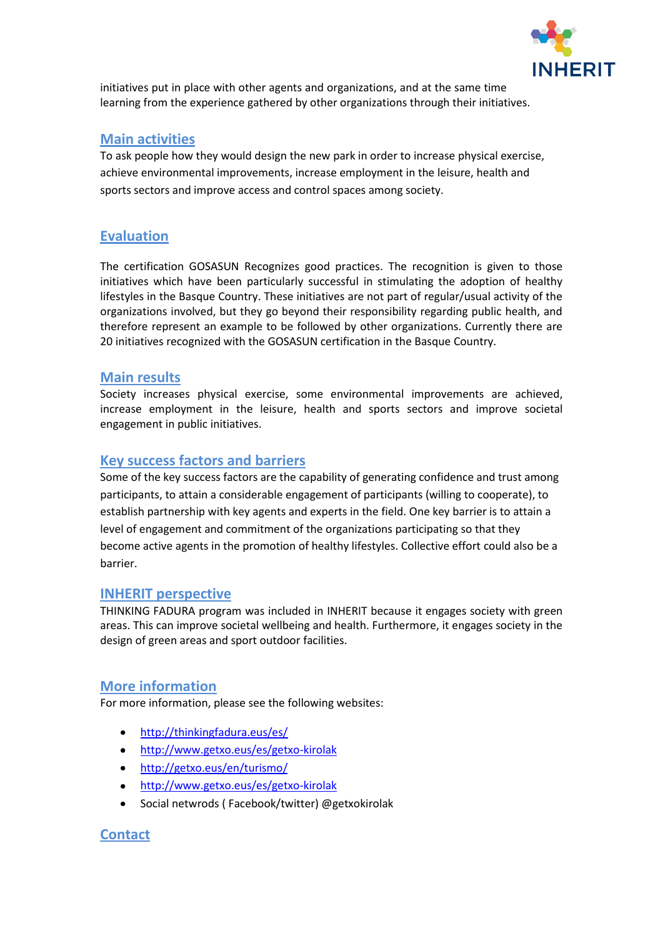

initiatives put in place with other agents and organizations, and at the same time learning from the experience gathered by other organizations through their initiatives.

# **Main activities**

To ask people how they would design the new park in order to increase physical exercise, achieve environmental improvements, increase employment in the leisure, health and sports sectors and improve access and control spaces among society.

# **Evaluation**

The certification GOSASUN Recognizes good practices. The recognition is given to those initiatives which have been particularly successful in stimulating the adoption of healthy lifestyles in the Basque Country. These initiatives are not part of regular/usual activity of the organizations involved, but they go beyond their responsibility regarding public health, and therefore represent an example to be followed by other organizations. Currently there are 20 initiatives recognized with the GOSASUN certification in the Basque Country.

## **Main results**

Society increases physical exercise, some environmental improvements are achieved, increase employment in the leisure, health and sports sectors and improve societal engagement in public initiatives.

# **Key success factors and barriers**

Some of the key success factors are the capability of generating confidence and trust among participants, to attain a considerable engagement of participants (willing to cooperate), to establish partnership with key agents and experts in the field. One key barrier is to attain a level of engagement and commitment of the organizations participating so that they become active agents in the promotion of healthy lifestyles. Collective effort could also be a barrier.

## **INHERIT perspective**

THINKING FADURA program was included in INHERIT because it engages society with green areas. This can improve societal wellbeing and health. Furthermore, it engages society in the design of green areas and sport outdoor facilities.

# **More information**

For more information, please see the following websites:

- <http://thinkingfadura.eus/es/>  $\bullet$
- <http://www.getxo.eus/es/getxo-kirolak>
- <http://getxo.eus/en/turismo/>
- <http://www.getxo.eus/es/getxo-kirolak>
- Social netwrods ( Facebook/twitter) @getxokirolak

# **Contact**